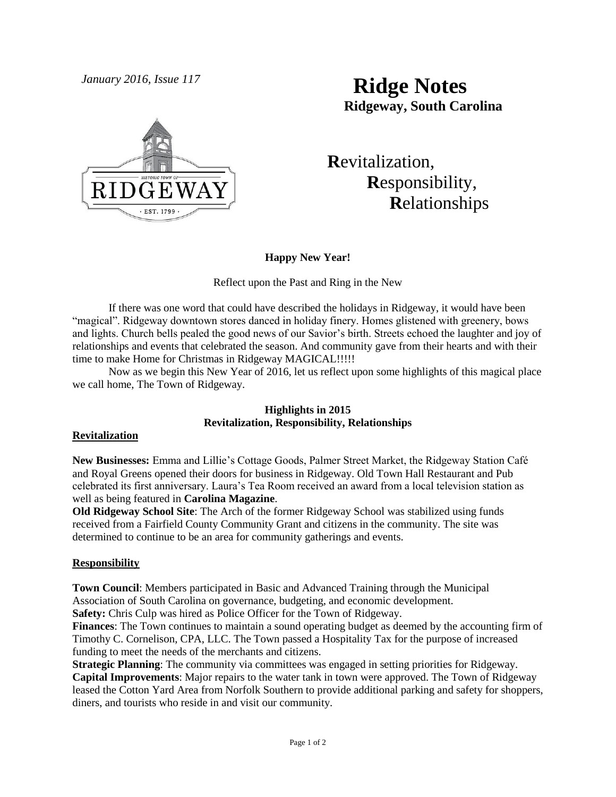

# *January 2016, Issue 117* **Ridge Notes Ridgeway, South Carolina**

 **R**evitalization,  **R**esponsibility,  **R**elationships

# **Happy New Year!**

# Reflect upon the Past and Ring in the New

If there was one word that could have described the holidays in Ridgeway, it would have been "magical". Ridgeway downtown stores danced in holiday finery. Homes glistened with greenery, bows and lights. Church bells pealed the good news of our Savior's birth. Streets echoed the laughter and joy of relationships and events that celebrated the season. And community gave from their hearts and with their time to make Home for Christmas in Ridgeway MAGICAL!!!!!

Now as we begin this New Year of 2016, let us reflect upon some highlights of this magical place we call home, The Town of Ridgeway.

# **Highlights in 2015 Revitalization, Responsibility, Relationships**

## **Revitalization**

**New Businesses:** Emma and Lillie's Cottage Goods, Palmer Street Market, the Ridgeway Station Café and Royal Greens opened their doors for business in Ridgeway. Old Town Hall Restaurant and Pub celebrated its first anniversary. Laura's Tea Room received an award from a local television station as well as being featured in **Carolina Magazine**.

**Old Ridgeway School Site**: The Arch of the former Ridgeway School was stabilized using funds received from a Fairfield County Community Grant and citizens in the community. The site was determined to continue to be an area for community gatherings and events.

## **Responsibility**

**Town Council**: Members participated in Basic and Advanced Training through the Municipal Association of South Carolina on governance, budgeting, and economic development.

**Safety:** Chris Culp was hired as Police Officer for the Town of Ridgeway.

**Finances**: The Town continues to maintain a sound operating budget as deemed by the accounting firm of Timothy C. Cornelison, CPA, LLC. The Town passed a Hospitality Tax for the purpose of increased funding to meet the needs of the merchants and citizens.

**Strategic Planning**: The community via committees was engaged in setting priorities for Ridgeway. **Capital Improvements**: Major repairs to the water tank in town were approved. The Town of Ridgeway leased the Cotton Yard Area from Norfolk Southern to provide additional parking and safety for shoppers, diners, and tourists who reside in and visit our community.